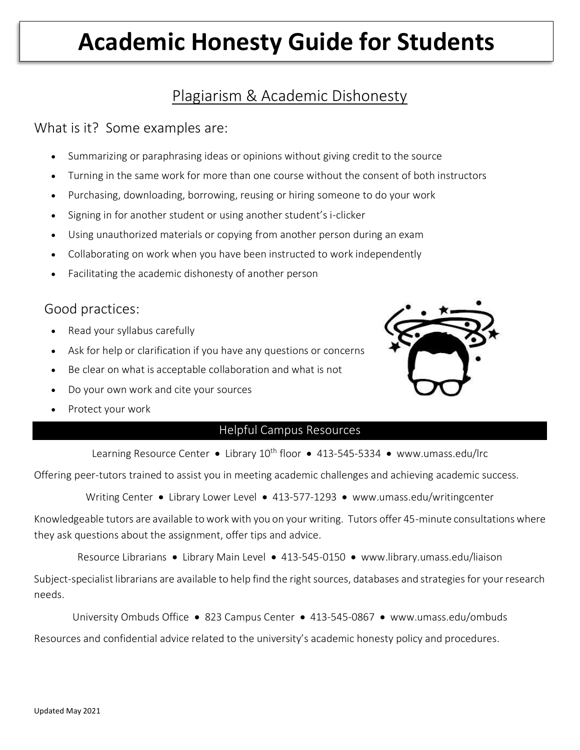# **Academic Honesty Guide for Students**

## Plagiarism & Academic Dishonesty

### What is it? Some examples are:

- Summarizing or paraphrasing ideas or opinions without giving credit to the source
- Turning in the same work for more than one course without the consent of both instructors
- Purchasing, downloading, borrowing, reusing or hiring someone to do your work
- Signing in for another student or using another student's i-clicker
- Using unauthorized materials or copying from another person during an exam
- Collaborating on work when you have been instructed to work independently
- Facilitating the academic dishonesty of another person

### Good practices:

- Read your syllabus carefully
- Ask for help or clarification if you have any questions or concerns
- Be clear on what is acceptable collaboration and what is not
- Do your own work and cite your sources
- Protect your work

#### Helpful Campus Resources

Learning Resource Center • Library 10<sup>th</sup> floor • 413-545-5334 • [www.umass.edu/lrc](http://www.umass.edu/lrc)

Offering peer-tutors trained to assist you in meeting academic challenges and achieving academic success.

Writing Center • Library Lower Level • 413-577-1293 • www.umass.edu/writingcenter

Knowledgeable tutors are available to work with you on your writing. Tutors offer 45-minute consultations where they ask questions about the assignment, offer tips and advice.

Resource Librarians • Library Main Level • 413-545-0150 • [www.library.umass.edu/liaison](http://www.library.umass.edu/liaison)

Subject-specialist librarians are available to help find the right sources, databases and strategies for your research needs.

University Ombuds Office • 823 Campus Center • 413-545-0867 • [www.umass.edu/ombuds](http://www.umass.edu/ombuds)

Resources and confidential advice related to the university's academic honesty policy and procedures.